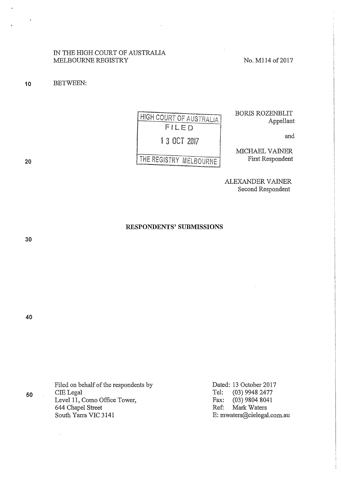IN THE HIGH COURT OF AUSTRALIA MELBOURNE REGISTRY No. M114 of 2017

**10** BETWEEN:

FILED 1 3 OCT 2017 I and

HIGH COURT OF AUSTRALIA BORIS ROZENBLIT Appellant

MICHAEL VAINER First Respondent

ALEXANDER VAINER Second Respondent

**RESPONDENTS' SUBMISSIONS** 

**30** 

**40** 

**50** 

**20** 

Filed on behalf of the respondents by CIE Legal Level 11, Como Office Tower, 644 Chapel Street South Yarra VIC 3141

Dated: 13 October 2017 Tel: (03) 9948 2477 Fax: (03) 9804 8041 Ref: Mark Waters E: mwaters@cielegal.com.au

# THE REGISTRY MELBOURNE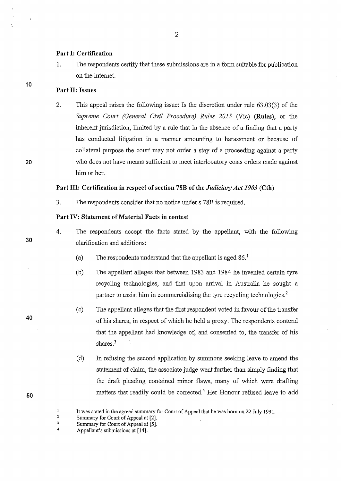#### **Part I: Certification**

1. The respondents certify that these submissions are in a form suitable for publication on the intemet.

# **Part II: Issues**

2. This appeal raises the following issue: Is the discretion under rule 63.03(3) of the *Supreme Court (General Civil Procedure) Rules 2015* (Vie) **(Rules),** or the inherent jurisdiction, limited by a rule that in the absence of a finding that a party has conducted litigation in a manner amounting to harassment or because of collateral purpose the court may not order a stay of a proceeding against a party who does not have means sufficient to meet interlocutory costs orders made against him or her.

## **Part III: Certification in respect of section 78B of the** *Judiciary Act 1903* **(Cth)**

3. The respondents consider that no notice under s 78B is required.

#### **Part IV: Statement of Material Facts in contest**

- 4. The respondents accept the facts stated by the appellant, with the following clarification and additions:
	- (a) The respondents understand that the appellant is aged  $86<sup>1</sup>$
	- (b) The appellant alleges that between 1983 and 1984 he invented certain tyre recycling technologies, and that upon arrival in Australia he sought a partner to assist him in commercialising the tyre recycling technologies.<sup>2</sup>
	- (c) The appellant alleges that the first respondent voted in favour of the transfer of his shares, in respect of which he held a proxy. The respondents contend that the appellant had knowledge of, and consented to, the transfer of his shares.<sup>3</sup>
	- (d) In refusing the second application by summons seeking leave to amend the statement of claim, the associate judge went further than simply finding that the draft pleading contained minor flaws, many of which were drafting matters that readily could be corrected.<sup>4</sup> Her Honour refused leave to add

**30** 

**10** 

**20** 

**50** 

 $\mathbf{1}$ 

It was stated in the agreed summary for Comt of Appeal that he was born on 22 July 1931.

<sup>2</sup>  Summary for Court of Appeal at [2].

<sup>3</sup>  4 Summary for Court of Appeal at [5].

Appellant's submissions at [14].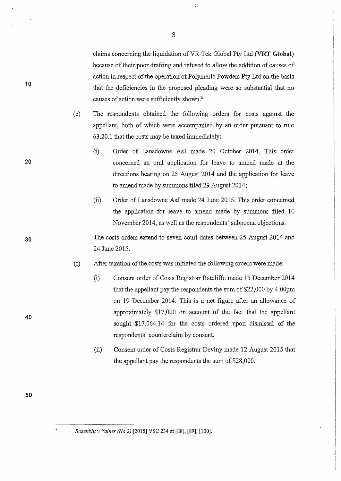claims concerning the liquidation ofVR Tek Global Pty Ltd (VRT **Global)**  because of their poor drafting and refused to allow the addition of causes of action in respect of the operation of Polymeric Powders Pty Ltd on the basis that the deficiencies in the proposed pleading were so substantial that no causes of action were sufficiently shown. 5

 $\epsilon$ 

- (e) The respondents obtained the following orders for costs against the appellant, both of which were accompanied by an order pursuant to rule 63 .20 .1 that the costs may be taxed immediately:
	- (i) Order of Lansdowne AsJ made 20 October 2014. This order concerned an oral application for leave to amend made at the directions hearing on 25 August 2014 and the application for leave to amend made by summons filed 29 August 2014;
	- (ii) Order of Lansdowne AsJ made 24 June 2015. This order concerned the application for leave to amend made by summons filed 10 November 2014, as well as the respondents' subpoena objections.

The costs orders extend to seven court dates between 25 August 2014 and 24 June 2015.

(±) After taxation of the costs was initiated the following orders were made:

- (i) Consent order of Costs Registrar Ratcliffe made 15 December 2014 that the appellant pay the respondents the sum of \$22,000 by 4:00pm on 19 December 2014. This is a net figure after an allowance of approximately \$17,000 on account of the fact that the appellant sought \$17,064.14 for the costs ordered upon dismissal of the respondents' counterclaim by consent.
- (ii) Consent order of Costs Registrar Deviny made 12 August 2015 that the appellant pay the respondents the sum of \$28,000.

10

'-

**20** 

**30** 

**40** 

**50** 

 $\overline{\mathbf{S}}$ 

*Rozenblit v Vainer (No 2)* [2015] VSC 234 at [88], [89], [lOO].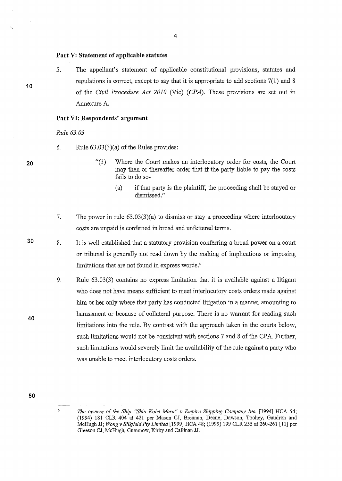## **Part V: Statement of applicable statutes**

5. The appellant's statement of applicable constitutional provisions, statutes and regulations is correct, except to say that it is appropriate to add sections  $7(1)$  and 8 of the *Civil Procedure Act 2010* (Vie) **(CPA).** These provisions are set out in Annexure A.

## **Part VI: Respondents' argument**

*Rule 63.03* 

- 6. Rule  $(63.03)(3)(a)$  of the Rules provides:
	- "(3) Where the Court makes an interlocutory order for costs, the Court may then or thereafter order that if the party liable to pay the costs fails to do so-
		- (a) if that party is the plaintiff, the proceeding shall be stayed or dismissed."
- 7. The power in rule 63.03(3)(a) to dismiss or stay a proceeding where interlocutory costs are unpaid is conferred in broad and unfettered tenns.
- 8. It is well established that a statutory provision conferring a broad power on a court or tribunal is generally not read down by the making of implications or imposing limitations that are not found in express words.<sup>6</sup>
	- 9. Rule 63.03(3) contains no express limitation that it is available against a litigant who does not have means sufficient to meet interlocutory costs orders made against him or her only where that party has conducted litigation in a manner amounting to harassment or because of collateral purpose. There is no warrant for reading such limitations into the rule. By contrast with the approach taken in the comis below, such limitations would not be consistent with sections 7 and 8 of the CPA. Further, such limitations would severely limit the availability of the rule against a party who was unable to meet interlocutory costs orders.

**20** 

**10** 

**30** 

**40** 

<sup>&</sup>lt;sup>6</sup> The owners of the Ship "Shin Kobe Maru" v Empire Shipping Company Inc. [1994] HCA 54; (1994) 181 CLR 404 at 421 per Mason CJ, Brennan, Deane, Dawson, Toohey, Gaudron and McHugh JJ; *Wong v Silkjield Pty Limited* [1999] HCA 48; (1999) 199 CLR 255 at 260-261 [11] per Gleeson CJ, McHugh, Gummow, Kirby and Callinan JJ.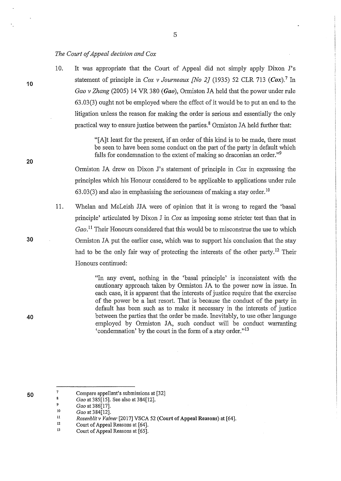#### *The Court of Appeal decision and Cox*

10. It was appropriate that the Court of Appeal did not simply apply Dixon J's statement of principle in *Cox v Journeaux [No 2]* (1935) 52 CLR 713 (Cox).*7* In *Gao v Zhang* (2005) 14 VR 380 *(Gao),* Ormiston JA held that the power under rule 63.03(3) ought not be employed where the effect of it would be to put an end to the litigation unless the reason for making the order is serious and essentially the only practical way to ensure justice between the parties.<sup>8</sup> Ormiston JA held further that:

> "[A]t least for the present, if an order of this kind is to be made, there must be seen to have been some conduct on the part of the pmty in default which falls for condemnation to the extent of making so draconian an order."9

Ormiston JA drew on Dixon J's statement of principle in *Cox* in expressing the principles which his Honour considered to be applicable to applications under rule 63.03(3) and also in emphasising the seriousness of making a stay order.<sup>10</sup>

11. Whelan and McLeish JJA were of opinion that it is wrong to regard the 'basal principle' mticulated by Dixon J in *Cox* as imposing some stricter test than that in *Gao.* 11 Their Honours considered that this would be to misconstrue the use to which Ormiston JA put the earlier case, which was to support his conclusion that the stay had to be the only fair way of protecting the interests of the other party.<sup>12</sup> Their Honours continued:

> "In any event, nothing in the 'basal principle' is inconsistent with the cautionary approach taken by Ormiston JA to the power now in issue. In each case, it is apparent that the interests of justice require that the exercise of the power be a last resort. That is because the conduct of the pmty in default has been such as to make it necessary in the interests of justice between the parties that the order be made. Inevitably, to use other language employed by Ormiston JA, such conduct will be conduct warranting 'condemnation' by the court in the form of a stay order."<sup>13</sup>

**40** 

**10** 

**20** 

**30** 

10 *Gao* at 386[17].

**<sup>50</sup>** 

<sup>7</sup>  Compare appellant's submissions at [32]

 $\boldsymbol{s}$ *Gao* at 385[15]. See also at 384[12]. 9

ll *Gao* at 384[12].

*Rozenblitv Vainer* [2017] VSCA 52 (Court of Appeal Reasons) at [64].

<sup>12</sup>  Court of Appeal Reasons at [64].

<sup>13</sup>  Court of Appeal Reasons at [65].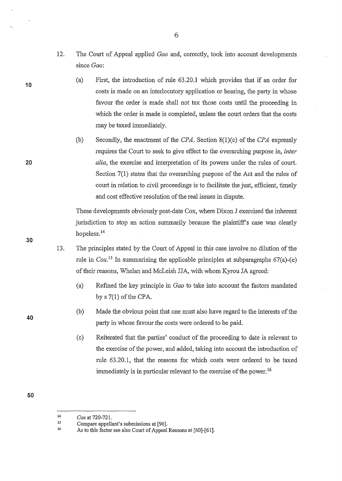- 12. The Court of Appeal applied *Gao* and, conectly, took into account developments since Gaa:
	- (a) First, the introduction of rule 63.20.1 which provides that if an order for costs is made on an interlocutory application or hearing, the party in whose favour the order is made shall not tax those costs until the proceeding in which the order is made is completed, unless the court orders that the costs may be taxed immediately.
	- (b) Secondly, the enactment of the *CPA.* Section 8(l)(c) of the *CPA* expressly requires the Court to seek to give effect to the overarching purpose in, *inter alia,* the exercise and interpretation of its powers under the rules of court. Section  $7(1)$  states that the overarching purpose of the Act and the rules of court in relation to civil proceedings is to facilitate the just, efficient, timely and cost effective resolution of the real issues in dispute.

These developments obviously post-date Cox, where Dixon J exercised the inherent jurisdiction to stop an action summarily because the plaintiff's case was clearly hopeless.<sup>14</sup>

- 13. The principles stated by the Court of Appeal in this case involve no dilution of the rule in  $Cox$ .<sup>15</sup> In summarising the applicable principles at subparagraphs 67(a)-(e) of their reasons, Whelan and McLeish JJA, with whom Kyrou JA agreed:
	- (a) Refined the key principle in *Gao* to take into account the factors mandated by  $s$  7(1) of the CPA.
	- (b) Made the obvious point that one must also have regard to the interests of the party in whose favour the costs were ordered to be paid.
	- (c) Reiterated that the parties' conduct of the proceeding to date is relevant to the exercise of the power, and added, taking into account the introduction of rule 63.20.1, that the reasons for which costs were ordered to be taxed immediately is in particular relevant to the exercise of the power.<sup>16</sup>
- **50**

6

30

**10** 

20

<sup>14</sup>  *Cox* at 720-721.

<sup>15</sup>  16 Compare appellant's submissions at [90].

As to this factor see also Court of Appeal Reasons at [60]-[61].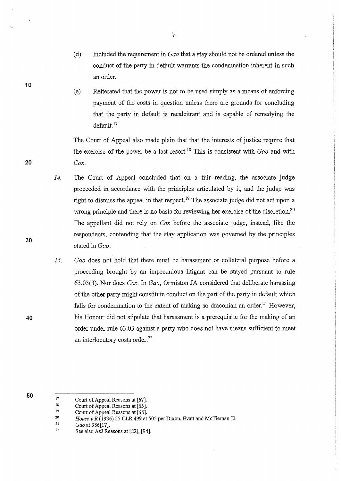- (d) Included the requirement in *Gao* that a stay should not be ordered unless the conduct of the party in default warrants the condemnation inherent in such an order.
- (e) Reiterated that the power is not to be used simply as a means of enforcing payment of the costs in question unless there are grounds for concluding that the party in default is recalcitrant and is capable of remedying the default. <sup>17</sup>

The Court of Appeal also made plain that that the interests of justice require that the exercise of the power be a last resort. 18 This is consistent with *Gao* and with *Cox.* 

- *14.*  The Court of Appeal concluded that on a fair reading, the associate judge proceeded in accordance with the principles articulated by it, and the judge was right to dismiss the appeal in that respect.<sup>19</sup> The associate judge did not act upon a wrong principle and there is no basis for reviewing her exercise of the discretion.<sup>20</sup> The appellant did not rely on *Cox* before the associate judge, instead, like the respondents, contending that the stay application was governed by the principles stated in *Gao.*
- *15. Gao* does not hold that there must be harassment or collateral purpose before a proceeding brought by an impecunious litigant can be stayed pursuant to rule 63.03(3). Nor does *Cox.* In *Gao,* Ormiston JA considered that deliberate harassing of the other party might constitute conduct on the part of the party in default which falls for condemnation to the extent of making so draconian an order.<sup>21</sup> However, his Honour did not stipulate that harassment is a prerequisite for the making of an order under rule 63.03 against a party who does not have means sufficient to meet an interlocutory costs order.<sup>22</sup>

50

21 Gao at 386[17]. 7

20

10

30

<sup>17</sup>  Court of Appeal Reasons at [67].

<sup>18</sup>  Court of Appeal Reasons at [65].

<sup>19</sup>  Court of Appeal Reasons at [68].

<sup>20</sup>  *House v R* (1936) *55* CLR 499 at 505 per Dixon, Evatt and McTiernan JJ.

<sup>22</sup>  See also AsJ Reasons at [82], [94].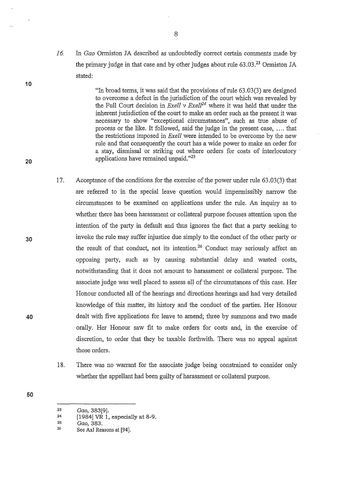*16.* In *Gao* Ormiston JA described as undoubtedly correct certain comments made by the primary judge in that case and by other judges about rule  $63.03<sup>23</sup>$  Ormiston JA stated:

> "In broad terms, it was said that the provisions of rule 63.03 (3) are designed to overcome a defect in the jurisdiction of the court which was revealed by the Full Court decision in *Exell v Exel/24* where it was held that under the inherent jurisdiction of the court to make an order such as the present it was necessary to show "exceptional circumstances", such as true abuse of process or the like. It followed, said the judge in the present case, .... that the restrictions imposed in *Exell* were intended to be overcome by the new rule and that consequently the court has a wide power to make an order for a stay, dismissal or striking out where orders for costs of interlocutory · applications have remained unpaid."<sup>25</sup>

- 17. Acceptance of the conditions for the exercise of the power under rule 63.03(3) that are referred to in the special leave question would impermissibly narrow the circumstances to be examined on applications under the rule. An inquiry as to whether there has been harassment or collateral purpose focuses attention upon the intention of the party in default and thus ignores the fact that a party seeking to invoke the rule may suffer injustice due simply to the conduct of the other party or the result of that conduct, not its intention.<sup>26</sup> Conduct may seriously affect an opposing patiy, such as by causing substantial delay and wasted costs, notwithstanding that it does not amount to harassment or collateral purpose. The associate judge was well placed to assess all of the circumstances of this case. Her Honour conducted all of the hearings and directions hearings and had very detailed knowledge of this matter, its history and the conduct of the parties. Her Honour dealt with five applications for leave to amend; three by summons and two made orally. Her Honour saw fit to make orders for costs and, in the exercise of discretion, to order that they be taxable forthwith. There was no appeal against those orders.
	- 18. There was no warrant for the associate judge being constrained to consider only whether the appellant had been guilty of harassment or collateral purpose.
- 

30

20

10

40

<sup>23</sup>  *Gao,* 383[9).

<sup>24</sup>  [1984] VR 1, especially at 8-9.

<sup>25</sup>  *Gao,* 383.

<sup>26</sup>  See AsJ Reasons at [94].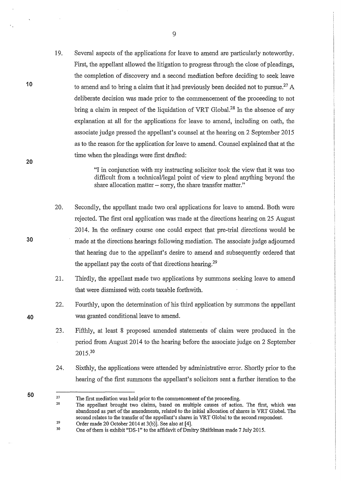19. Several aspects of the applications for leave to amend are particularly noteworthy. First, the appellant allowed the litigation to progress through the close of pleadings, the completion of discovery and a second mediation before deciding to seek leave to amend and to bring a claim that it had previously been decided not to pursue.<sup>27</sup> A deliberate decision was made prior to the commencement of the proceeding to not bring a claim in respect of the liquidation of VRT Global.<sup>28</sup> In the absence of any explanation at all for the applications for leave to amend, including on oath, the associate judge pressed the appellant's counsel at the hearing on 2 September 2015 as to the reason for the application for leave to amend. Counsel explained that at the time when the pleadings were first drafted:

> "I in conjunction with my instructing solicitor took the view that it was too difficult from a technical/legal point of view to plead anything beyond the share allocation matter – sorry, the share transfer matter."

- 20. Secondly, the appellant made two oral applications for leave to amend. Both were rejected. The first oral application was made at the directions hearing on 25 August 2014. In the ordinary course one could expect that pre-trial directions would be made at the directions hearings following mediation. The associate judge adjourned that hearing due to the appellant's desire to amend and subsequently ordered that the appellant pay the costs of that directions hearing.<sup>29</sup>
- 21. Thirdly, the appellant made two applications by summons seeking leave to amend that were dismissed with costs taxable forthwith.
- 22. Fourthly, upon the determination of his third application by summons the appellant was granted conditional leave to amend.
- 23. Fifthly, at least 8 proposed amended statements of claim were produced in the period from August 2014 to the hearing before the associate judge on 2 September 2015.<sup>30</sup>
- 24. Sixthly, the applications were attended by administrative error. Shortly prior to the hearing of the first summons the appellant's solicitors sent a further iteration to the
- **50**

**30** 

**10** 

**20** 

<sup>27</sup>  The first mediation was held prior to the commencement of the proceeding.

<sup>28</sup>  29 The appellant brought two claims, based on multiple causes of action. The first, which was abandoned as part of the amendments, related to the initial allocation of shares in VRT Global. The second relates to the transfer of the appellant's shares in VRT Global to the second respondent. Order made 20 October 2014 at 3(b)]. See also at [4].

<sup>30</sup>  One of them is exhibit "DS-1" to the affidavit of Dmitry Shtifelman made 7 July 2015.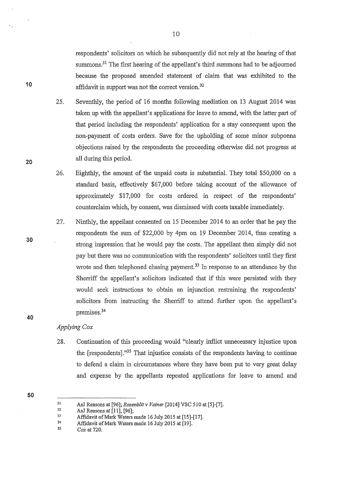respondents' solicitors on which he subsequently did not rely at the hearing of that summons.<sup>31</sup> The first hearing of the appellant's third summons had to be adjourned because the proposed amended statement of claim that was exhibited to the affidavit in support was not the correct version.<sup>32</sup>

25. Seventhly, the period of 16 months following mediation on 13 August 2014 was taken up with the appellant's applications for leave to amend, with the latter part of that period including the respondents' application for a stay consequent upon the non-payment of costs orders. Save for the upholding of some minor subpoena objections raised by the respondents the proceeding otherwise did not progress at all during this period.

26. Eighthly, the amount of the unpaid costs is substantial. They total \$50,000 on a standard basis, effectively \$67,000 before taking account of the allowance of approximately \$17,000 for costs ordered in respect of the respondents' counterclaim which, by consent, was dismissed with costs taxable immediately.

27. Ninthly, the appellant consented on 15 December 2014 to an order that he pay the respondents the sum of \$22,000 by 4pm on 19 December 2014, thus creating a strong impression that he would pay the costs. The appellant then simply did not pay but there was no communication with the respondents' solicitors until they first wrote and then telephoned chasing payment.<sup>33</sup> In response to an attendance by the Sherriff the appellant's solicitors indicated that if this were persisted with they would seek instructions to obtain an injunction restraining the respondents' solicitors from instructing the Sherriff to attend further upon the appellant's premises.34

## *Applying Cox*

- 28. Continuation of this proceeding would "clearly inflict unnecessary injustice upon the [respondents]."<sup>35</sup> That injustice consists of the respondents having to continue to defend a claim in circumstances where they have been put to very great delay and expense by the appellants repeated applications for leave to amend and
- 50

35 Cox at 720.

30

40

10

<sup>31</sup>  AsJ Reasons at [96]; *Rozenblitv Vainer* [2014] VSC 510 at [5]-[7].

<sup>32</sup>  AsJ Reasons at [11], [96];

<sup>33</sup>  Affidavit of Mark Waters made 16 July 2015 at [15]-[17].

<sup>34</sup>  Affidavit of Mark Waters made 16 July 2015 at [19].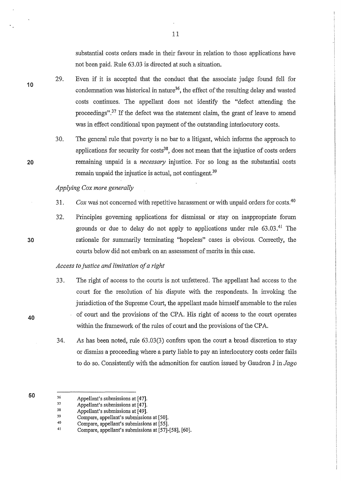substantial costs orders made in their favour in relation to those applications have not been paid. Rule 63.03 is directed at such a situation.

29. Even if it is accepted that the conduct that the associate judge found fell for condemnation was historical in nature<sup>36</sup>, the effect of the resulting delay and wasted costs continues. The appellant does not identify the "defect attending the proceedings".<sup>37</sup> If the defect was the statement claim, the grant of leave to amend was in effect conditional upon payment of the outstanding interlocutory costs.

11

30. The general rule that poverty is no bar to a litigant, which informs the approach to applications for security for  $costs<sup>38</sup>$ , does not mean that the injustice of costs orders remaining unpaid is a *necessary* injustice. For so long as the substantial costs remain unpaid the injustice is actual, not contingent.<sup>39</sup>

## *Applying Cox more generally*

- 31. *Cox* was not concerned with repetitive harassment or with unpaid orders for costs.<sup>40</sup>
- 32. Principles governing applications for dismissal or stay on inappropriate forum grounds or due to delay do not apply to applications under rule  $63.03.^{41}$  The rationale for summarily terminating "hopeless" cases is obvious. Correctly, the courts below did not embark on an assessment of merits in this case.

### *Access to justice and limitation of a right*

- 33. The right of access to the courts is not unfettered. The appellant had access to the court for the resolution of his dispute with the respondents. In invoking the jurisdiction of the Supreme Court, the appellant made himself amenable to the rules of court and the provisions of the CP A. His right of access to the court operates within the framework of the rules of court and the provisions of the CPA.
- 34. As has been noted, rule 63.03(3) confers upon the comt a broad discretion to stay or dismiss a proceeding where a party liable to pay an interlocutory costs order fails to do so. Consistently with the admonition for caution issued by Gaudron J in *Jago*
- 36 Appellant's submissions at [47].

10

30

20

40

<sup>37</sup>  Appellant's submissions at [47].

<sup>38</sup>  Appellant's submissions at [49].

<sup>39</sup>  Compare, appellant's submissions at [50].

<sup>40</sup>  Compare, appellant's submissions at [55].

<sup>41</sup>  Compare, appellant's submissions at [57]-[58], [60].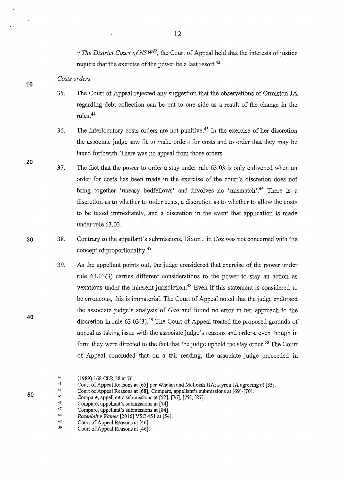*v The District Court of NSW<sup>42</sup>*, the Court of Appeal held that the interests of justice require that the exercise of the power be a last resort.<sup>43</sup>

*Costs orders* 

- 35. The Court of Appeal rejected any suggestion that the observations of Onniston JA regarding debt collection can be put to one side as a result of the change in the mles.<sup>44</sup>
- 36. The interlocutory costs orders are not punitive.<sup>45</sup> In the exercise of her discretion the associate judge saw fit to make orders for costs and to order that they may be taxed forthwith. There was no appeal from those orders.
- 37. The fact that the power to order a stay under rule 63.03 is only enlivened when an order for costs has been made in the exercise of the court's discretion does not bring together 'uneasy bedfellows' and involves no 'mismatch'.<sup>46</sup> There is a discretion as to whether to order costs, a discretion as to whether to allow the costs to be taxed immediately, and a discretion in the event that application is made under mle 63.03.
- 38. Contrruy to the appellant's submissions, Dixon J in *Cox* was not concerned with the concept of proportionality.<sup>47</sup>
	- 39. As the appellant points out, the judge considered that exercise of the power under rule 63.03(3) carries different considerations to the power to stay an action as vexatious under the inherent jurisdiction.<sup>48</sup> Even if this statement is considered to be erroneous, this is immaterial. The Court of Appeal noted that the judge endorsed the associate judge's analysis of *Gao* and found no error in her approach to the discretion in rule  $63.03(3)$ .<sup>49</sup> The Court of Appeal treated the proposed grounds of appeal as taking issue with the associate judge's reasons and orders, even though in form they were directed to the fact that the judge upheld the stay order.<sup>50</sup> The Court of Appeal concluded that on a fair reading, the associate judge proceeded in

12

30

10

20

40

<sup>42</sup>  (1989) 168 CLR28 at 76.

<sup>43</sup>  Coutt of Appeal Reasons at [65] per Whelan and McLeish JJA; Kyrou JA agreeing at [85].

<sup>44</sup>  Coutt of Appeal Reasons at [68]; Compare, appellant's submissions at [69]-[70].

<sup>45</sup>  Compare, appellant's submissions at [52], [76], [79], [87].

<sup>46</sup>  Compare, appellant's submissions at [74].

<sup>47</sup>  48 Compare, appellant's submissions at [84].

<sup>49</sup>  *Rozenblit v Vainer* [2016] VSC 451 at [54].

Court of Appeal Reasons at [46].

<sup>50</sup>  Court of Appeal Reasons at [46].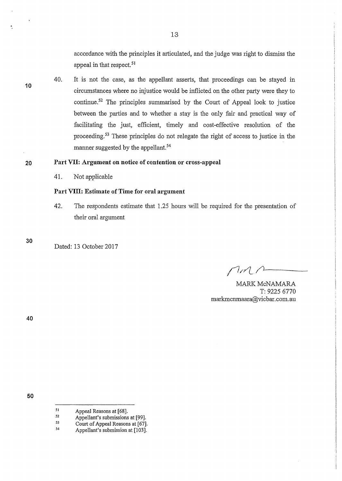accordance with the principles it articulated, and the judge was right to dismiss the appeal in that respect.<sup>51</sup>

40. It is not the case, as the appellant asserts, that proceedings can be stayed in circumstances where no injustice would be inflicted on the other party were they to continue.52 The principles summarised by the Court of Appeal look to justice between the parties and to whether a stay is the only fair and practical way of facilitating the just, efficient, timely and cost-effective resolution of the proceeding. 53 These principles do not relegate the right of access to justice in the manner suggested by the appellant. 54

# **20 Part VII: Argument on notice of contention or cross-appeal**

41. Not applicable

**Part VIII: Estimate of Time for oral argument** 

42. The respondents estimate that 1.25 hours will be required for the presentation of their oral argument

**30** 

**10** 

Dated: 13 October 2017

 $\Gamma$ 

MARK McNAMARA T: 9225 6770 markmcnmaara@vicbar.com.au

**40** 

<sup>51</sup>  Appeal Reasons at [68].

<sup>52</sup>  Appellant's submissions at [99].

<sup>53</sup>  *54*  Court of Appeal Reasons at [67].

Appellant's submission at [103].